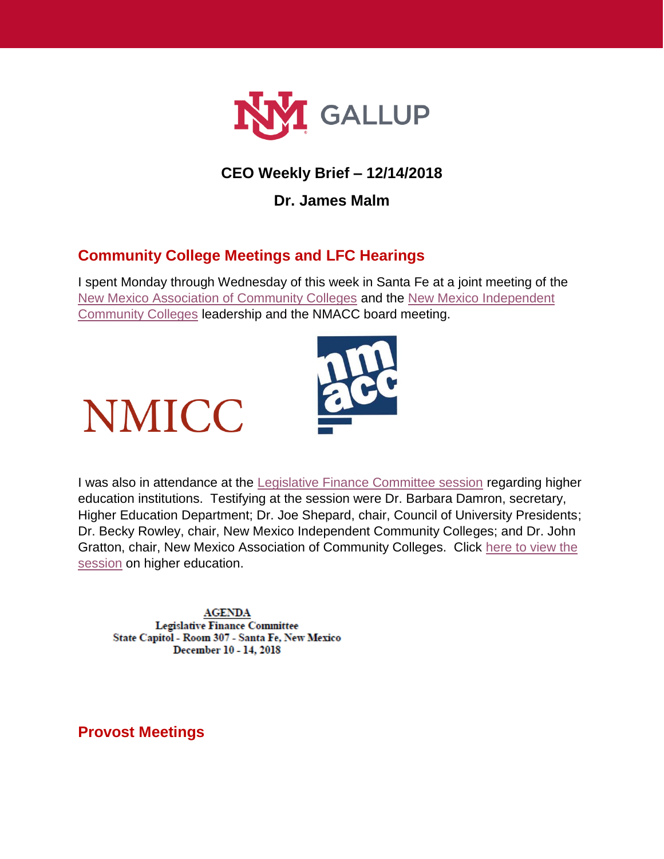

# **CEO Weekly Brief – 12/14/2018**

### **Dr. James Malm**

## **Community College Meetings and LFC Hearings**

I spent Monday through Wednesday of this week in Santa Fe at a joint meeting of the [New Mexico Association of Community Colleges](https://www.aacc.nche.edu/college/new-mexico-association-of-community-colleges/) and the [New Mexico Independent](https://www.sfcc.edu/offices/nmicc/)  [Community Colleges](https://www.sfcc.edu/offices/nmicc/) leadership and the NMACC board meeting.



I was also in attendance at the [Legislative Finance Committee session](https://www.nmlegis.gov/agendas/ALFCagedec10.18.pdf) regarding higher education institutions. Testifying at the session were Dr. Barbara Damron, secretary, Higher Education Department; Dr. Joe Shepard, chair, Council of University Presidents; Dr. Becky Rowley, chair, New Mexico Independent Community Colleges; and Dr. John Gratton, chair, New Mexico Association of Community Colleges. Click [here to view the](http://sg001-harmony.sliq.net/00293/Harmony/en/PowerBrowser/PowerBrowserV2/20181213/-1/59724)  [session](http://sg001-harmony.sliq.net/00293/Harmony/en/PowerBrowser/PowerBrowserV2/20181213/-1/59724) on higher education.

**AGENDA Legislative Finance Committee** State Capitol - Room 307 - Santa Fe, New Mexico December 10 - 14, 2018

**Provost Meetings** 

**NMICC**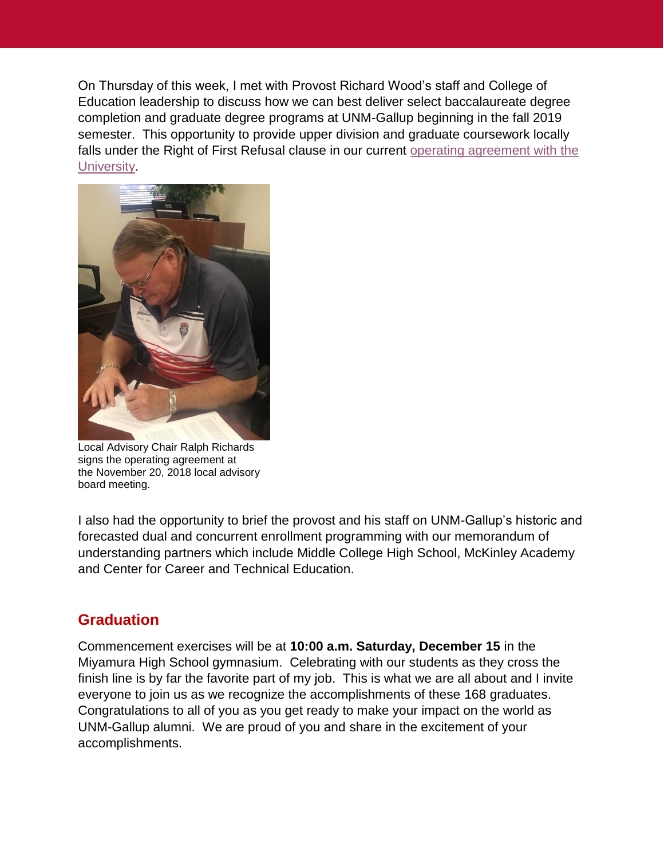On Thursday of this week, I met with Provost Richard Wood's staff and College of Education leadership to discuss how we can best deliver select baccalaureate degree completion and graduate degree programs at UNM-Gallup beginning in the fall 2019 semester. This opportunity to provide upper division and graduate coursework locally falls under the Right of First Refusal clause in our current [operating agreement with the](https://gallup.unm.edu/pdfs/LB-Operating-Agreement-signed.pdf)  [University.](https://gallup.unm.edu/pdfs/LB-Operating-Agreement-signed.pdf)



Local Advisory Chair Ralph Richards signs the operating agreement at the November 20, 2018 local advisory board meeting.

I also had the opportunity to brief the provost and his staff on UNM-Gallup's historic and forecasted dual and concurrent enrollment programming with our memorandum of understanding partners which include Middle College High School, McKinley Academy and Center for Career and Technical Education.

### **Graduation**

Commencement exercises will be at **10:00 a.m. Saturday, December 15** in the Miyamura High School gymnasium. Celebrating with our students as they cross the finish line is by far the favorite part of my job. This is what we are all about and I invite everyone to join us as we recognize the accomplishments of these 168 graduates. Congratulations to all of you as you get ready to make your impact on the world as UNM-Gallup alumni. We are proud of you and share in the excitement of your accomplishments.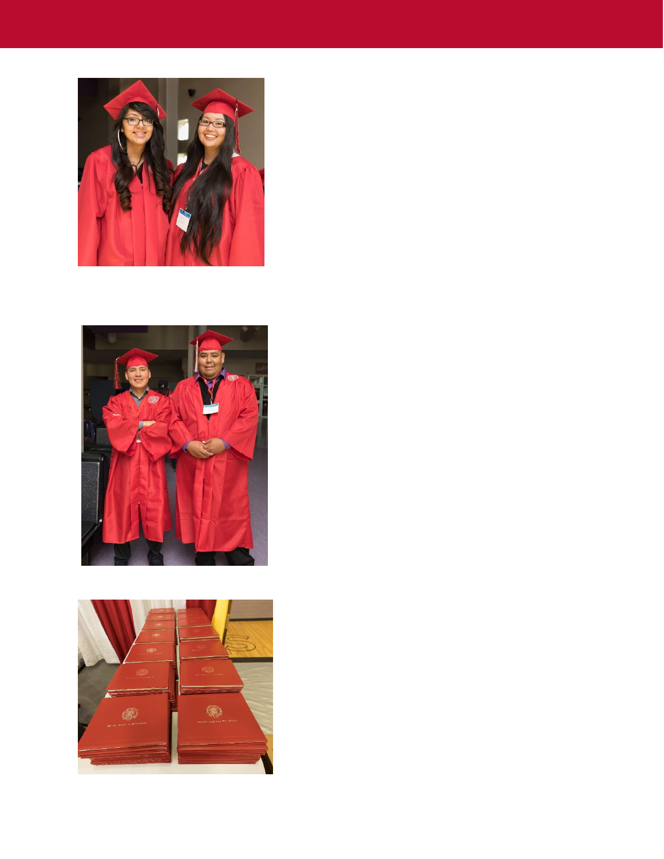